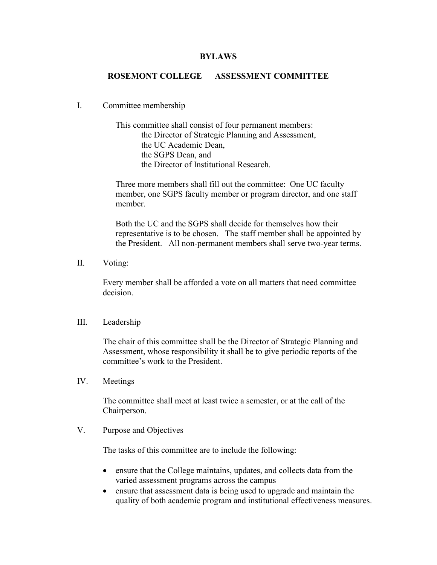## BYLAWS

## ROSEMONT COLLEGE ASSESSMENT COMMITTEE

## I. Committee membership

This committee shall consist of four permanent members: the Director of Strategic Planning and Assessment, the UC Academic Dean, the SGPS Dean, and the Director of Institutional Research.

Three more members shall fill out the committee: One UC faculty member, one SGPS faculty member or program director, and one staff member.

Both the UC and the SGPS shall decide for themselves how their representative is to be chosen. The staff member shall be appointed by the President. All non-permanent members shall serve two-year terms.

II. Voting:

Every member shall be afforded a vote on all matters that need committee decision.

## III. Leadership

The chair of this committee shall be the Director of Strategic Planning and Assessment, whose responsibility it shall be to give periodic reports of the committee's work to the President.

IV. Meetings

The committee shall meet at least twice a semester, or at the call of the Chairperson.

V. Purpose and Objectives

The tasks of this committee are to include the following:

- ensure that the College maintains, updates, and collects data from the varied assessment programs across the campus
- ensure that assessment data is being used to upgrade and maintain the quality of both academic program and institutional effectiveness measures.